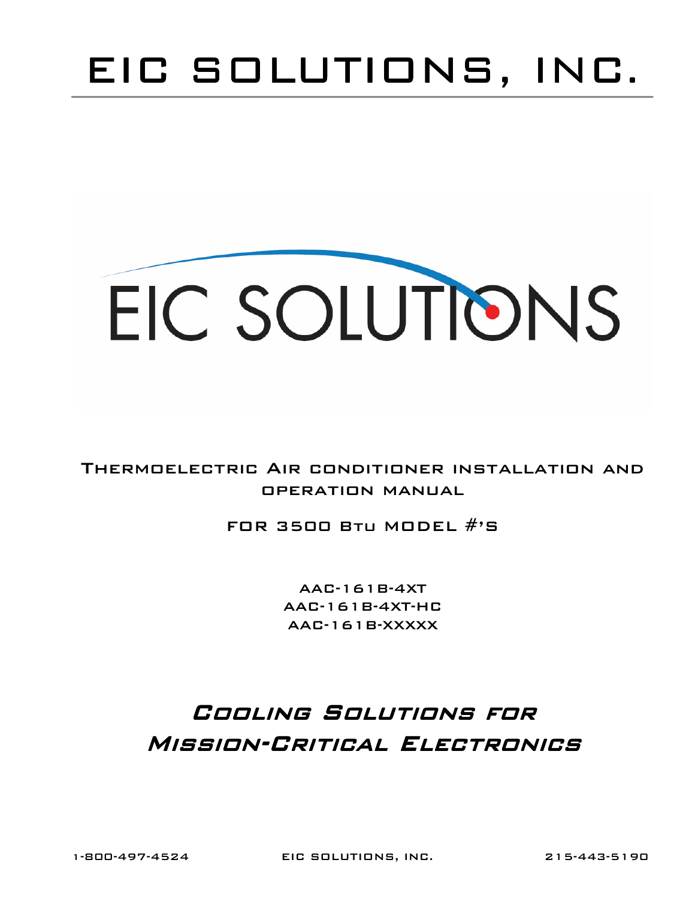## EIC SOLUTIONS, INC.

# EIC SOLUTIONS

#### Thermoelectric Air conditioner installation and operation manual

#### FOR 3500 BTU MODEL  $\#$ 'S

AAC-161B-4XT AAC-161B-4XT-HC AAC-161B-XXXXX

### Cooling Solutions for MISSION-CRITICAL ELECTRONICS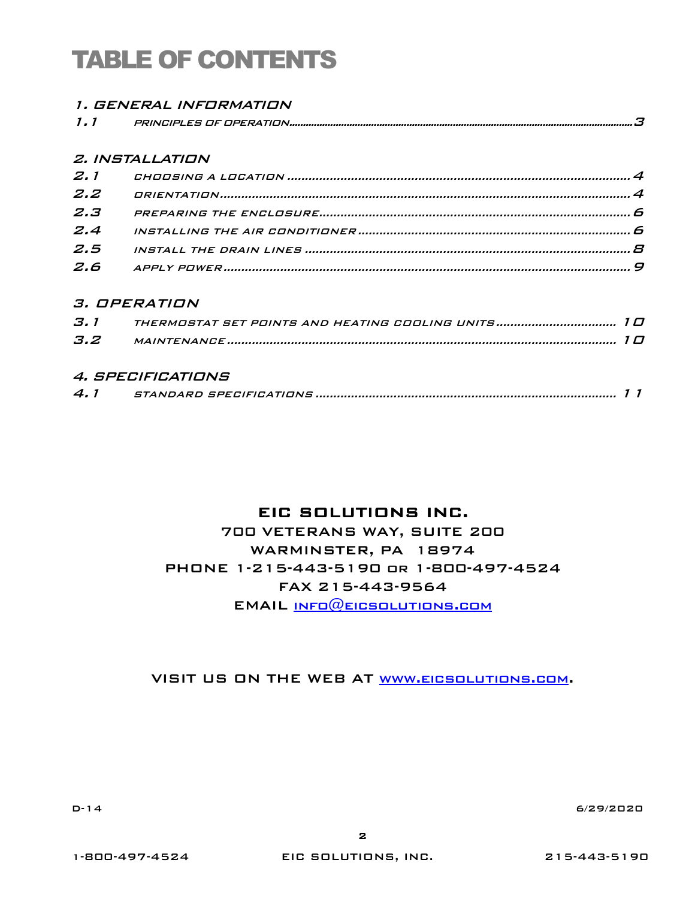## TABLE OF CONTENTS

|     | <i>1. GENERAL INFORMATION</i> |
|-----|-------------------------------|
| 1.1 |                               |

#### 2. INSTALLATION

| $Z$ , $Z$     |  |
|---------------|--|
| $Z$ . $\beta$ |  |
|               |  |
| 2.5           |  |
|               |  |

#### 3. OPERATION

| 3. 1 | THERMOSTAT SET POINTS AND HEATING COOLING UNITS 1 0 |  |
|------|-----------------------------------------------------|--|
| 3.2  |                                                     |  |

#### 4. SPECIFICATIONS

| 4. |
|----|
|----|

#### EIC SOLUTIONS INC.

700 VETERANS WAY, SUITE 200 WARMINSTER, PA 18974 PHONE 1-215-443-5190 or 1-800-497-4524 FAX 215-443-9564 EMAIL info@eicsolutions.com

VISIT US ON THE WEB AT www.eicsolutions.com.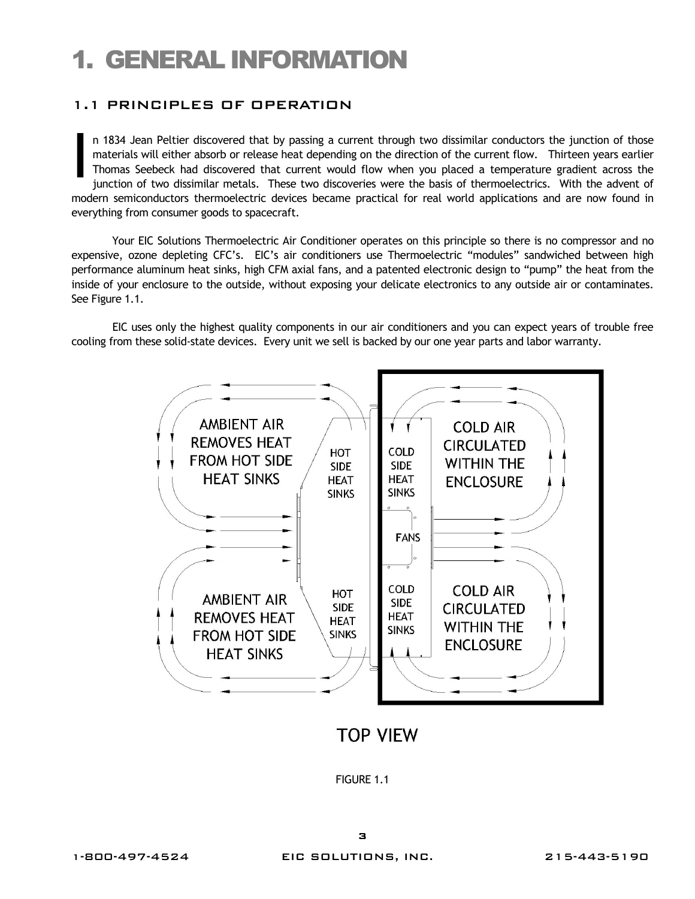## 1. GENERAL INFORMATION

#### 1.1 PRINCIPLES OF OPERATION

n 1834 Jean Peltier discovered that by passing a current through two dissimilar conductors the junction of those materials will either absorb or release heat depending on the direction of the current flow. Thirteen years earlier Thomas Seebeck had discovered that current would flow when you placed a temperature gradient across the junction of two dissimilar metals. These two discoveries were the basis of thermoelectrics. With the advent of modern semiconductors thermoelectric devices became practical for real world applications and are now found in everything from consumer goods to spacecraft. I

Your EIC Solutions Thermoelectric Air Conditioner operates on this principle so there is no compressor and no expensive, ozone depleting CFC's. EIC's air conditioners use Thermoelectric "modules" sandwiched between high performance aluminum heat sinks, high CFM axial fans, and a patented electronic design to "pump" the heat from the inside of your enclosure to the outside, without exposing your delicate electronics to any outside air or contaminates. See Figure 1.1.

EIC uses only the highest quality components in our air conditioners and you can expect years of trouble free cooling from these solid-state devices. Every unit we sell is backed by our one year parts and labor warranty.



**TOP VIEW** 

FIGURE 1.1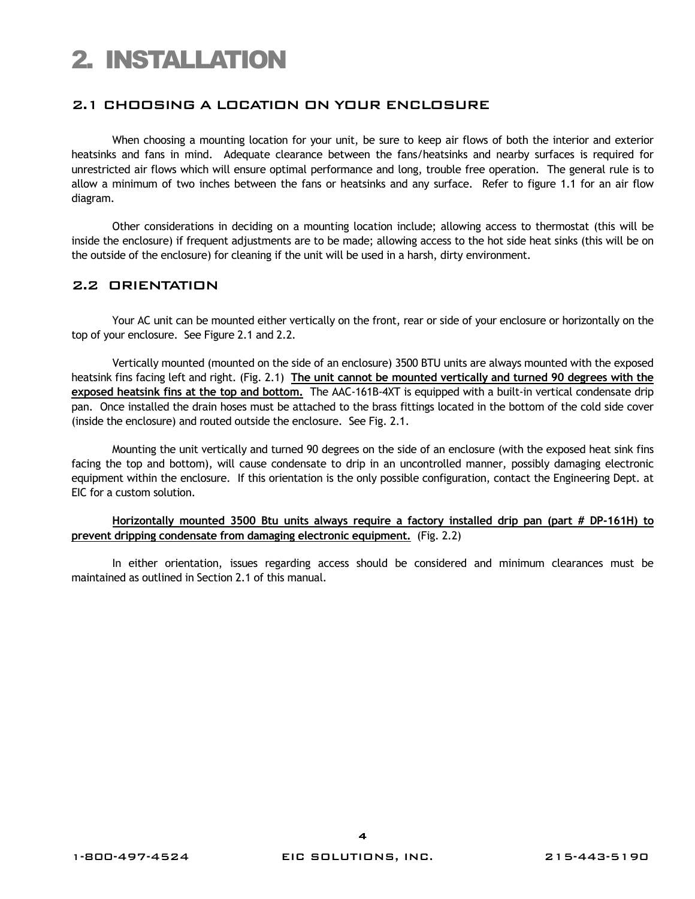## 2. INSTALLATION

#### 2.1 CHOOSING A LOCATION ON YOUR ENCLOSURE

When choosing a mounting location for your unit, be sure to keep air flows of both the interior and exterior heatsinks and fans in mind. Adequate clearance between the fans/heatsinks and nearby surfaces is required for unrestricted air flows which will ensure optimal performance and long, trouble free operation. The general rule is to allow a minimum of two inches between the fans or heatsinks and any surface. Refer to figure 1.1 for an air flow diagram.

Other considerations in deciding on a mounting location include; allowing access to thermostat (this will be inside the enclosure) if frequent adjustments are to be made; allowing access to the hot side heat sinks (this will be on the outside of the enclosure) for cleaning if the unit will be used in a harsh, dirty environment.

#### 2.2 ORIENTATION

Your AC unit can be mounted either vertically on the front, rear or side of your enclosure or horizontally on the top of your enclosure. See Figure 2.1 and 2.2.

Vertically mounted (mounted on the side of an enclosure) 3500 BTU units are always mounted with the exposed heatsink fins facing left and right. (Fig. 2.1) **The unit cannot be mounted vertically and turned 90 degrees with the exposed heatsink fins at the top and bottom.** The AAC-161B-4XT is equipped with a built-in vertical condensate drip pan. Once installed the drain hoses must be attached to the brass fittings located in the bottom of the cold side cover (inside the enclosure) and routed outside the enclosure. See Fig. 2.1.

Mounting the unit vertically and turned 90 degrees on the side of an enclosure (with the exposed heat sink fins facing the top and bottom), will cause condensate to drip in an uncontrolled manner, possibly damaging electronic equipment within the enclosure. If this orientation is the only possible configuration, contact the Engineering Dept. at EIC for a custom solution.

#### **Horizontally mounted 3500 Btu units always require a factory installed drip pan (part # DP-161H) to prevent dripping condensate from damaging electronic equipment.** (Fig. 2.2)

In either orientation, issues regarding access should be considered and minimum clearances must be maintained as outlined in Section 2.1 of this manual.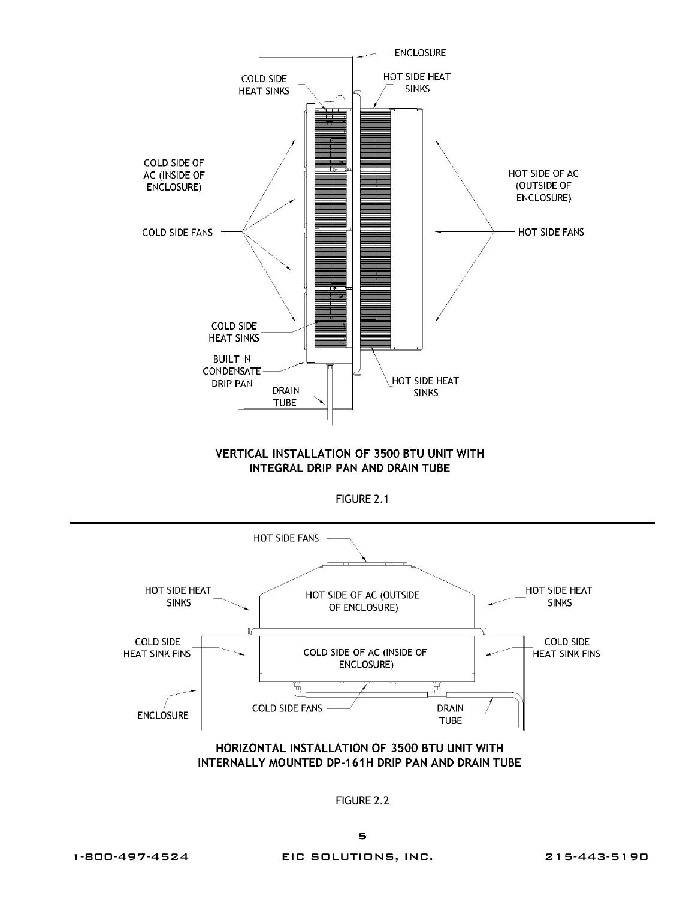

#### **VERTICAL INSTALLATION OF 3500 BTU UNIT WITH** INTEGRAL DRIP PAN AND DRAIN TUBE



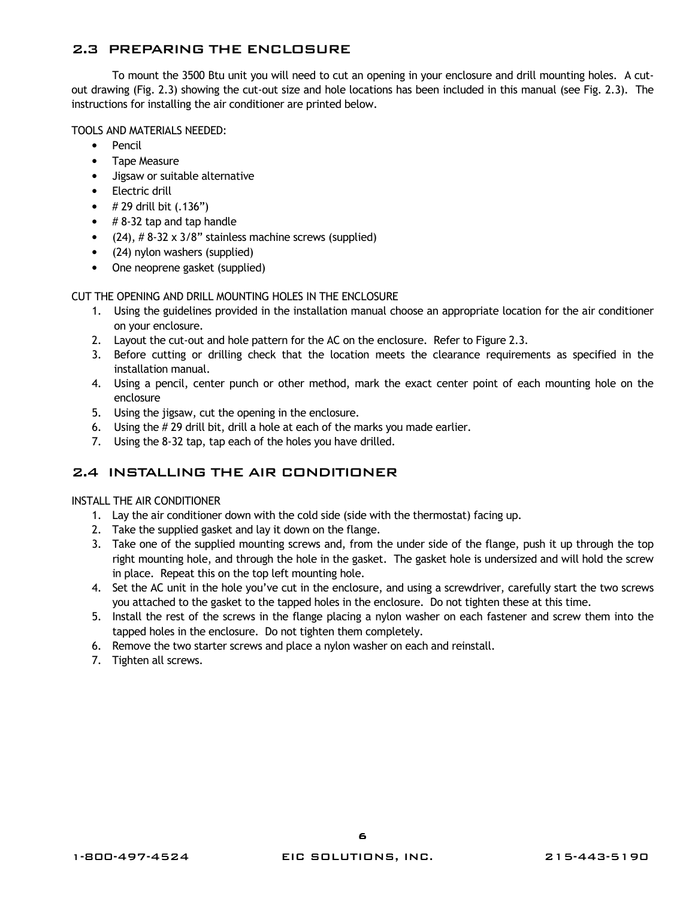#### 2.3 PREPARING THE ENCLOSURE

To mount the 3500 Btu unit you will need to cut an opening in your enclosure and drill mounting holes. A cutout drawing (Fig. 2.3) showing the cut-out size and hole locations has been included in this manual (see Fig. 2.3). The instructions for installing the air conditioner are printed below.

#### TOOLS AND MATERIALS NEEDED:

- Pencil
- Tape Measure
- Jigsaw or suitable alternative
- Electric drill
- $\# 29$  drill bit  $(.136")$
- $\bullet$  # 8-32 tap and tap handle
- $(24)$ ,  $\# 8-32 \times 3/8"$  stainless machine screws (supplied)
- (24) nylon washers (supplied)
- One neoprene gasket (supplied)

#### CUT THE OPENING AND DRILL MOUNTING HOLES IN THE ENCLOSURE

- 1. Using the guidelines provided in the installation manual choose an appropriate location for the air conditioner on your enclosure.
- 2. Layout the cut-out and hole pattern for the AC on the enclosure. Refer to Figure 2.3.
- 3. Before cutting or drilling check that the location meets the clearance requirements as specified in the installation manual.
- 4. Using a pencil, center punch or other method, mark the exact center point of each mounting hole on the enclosure
- 5. Using the jigsaw, cut the opening in the enclosure.
- 6. Using the # 29 drill bit, drill a hole at each of the marks you made earlier.
- 7. Using the 8-32 tap, tap each of the holes you have drilled.

#### 2.4 INSTALLING THE AIR CONDITIONER

#### INSTALL THE AIR CONDITIONER

- 1. Lay the air conditioner down with the cold side (side with the thermostat) facing up.
- 2. Take the supplied gasket and lay it down on the flange.
- 3. Take one of the supplied mounting screws and, from the under side of the flange, push it up through the top right mounting hole, and through the hole in the gasket. The gasket hole is undersized and will hold the screw in place. Repeat this on the top left mounting hole.
- 4. Set the AC unit in the hole you've cut in the enclosure, and using a screwdriver, carefully start the two screws you attached to the gasket to the tapped holes in the enclosure. Do not tighten these at this time.
- 5. Install the rest of the screws in the flange placing a nylon washer on each fastener and screw them into the tapped holes in the enclosure. Do not tighten them completely.
- 6. Remove the two starter screws and place a nylon washer on each and reinstall.
- 7. Tighten all screws.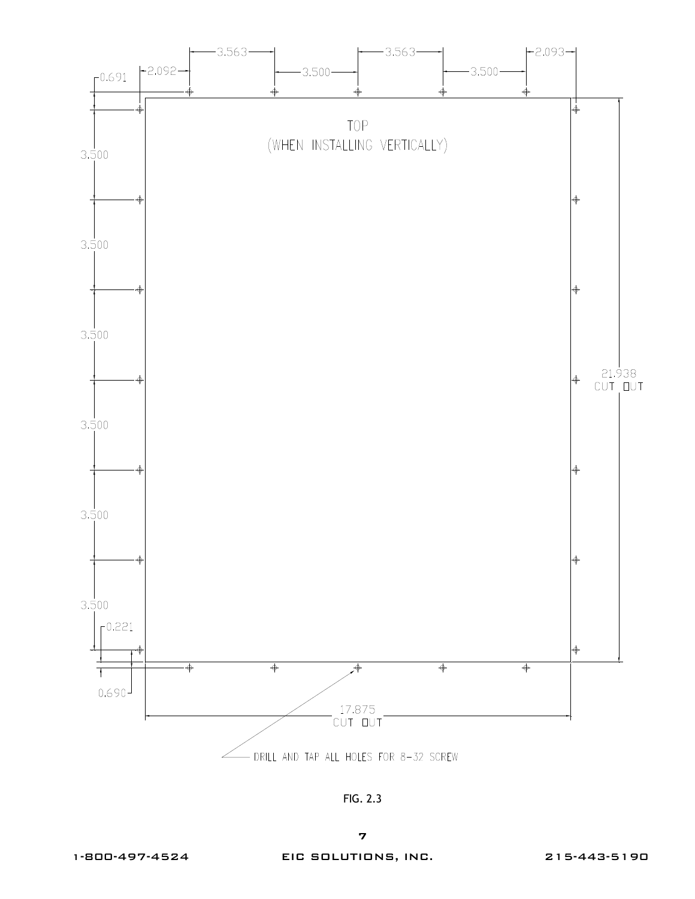

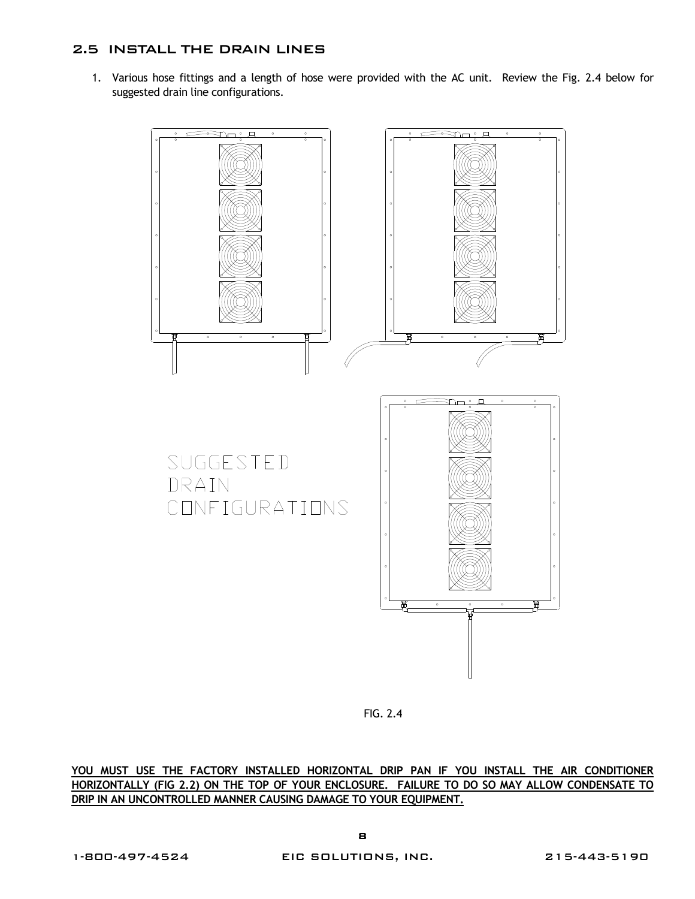#### 2.5 INSTALL THE DRAIN LINES

1. Various hose fittings and a length of hose were provided with the AC unit. Review the Fig. 2.4 below for suggested drain line configurations.



FIG. 2.4

**YOU MUST USE THE FACTORY INSTALLED HORIZONTAL DRIP PAN IF YOU INSTALL THE AIR CONDITIONER HORIZONTALLY (FIG 2.2) ON THE TOP OF YOUR ENCLOSURE. FAILURE TO DO SO MAY ALLOW CONDENSATE TO DRIP IN AN UNCONTROLLED MANNER CAUSING DAMAGE TO YOUR EQUIPMENT.**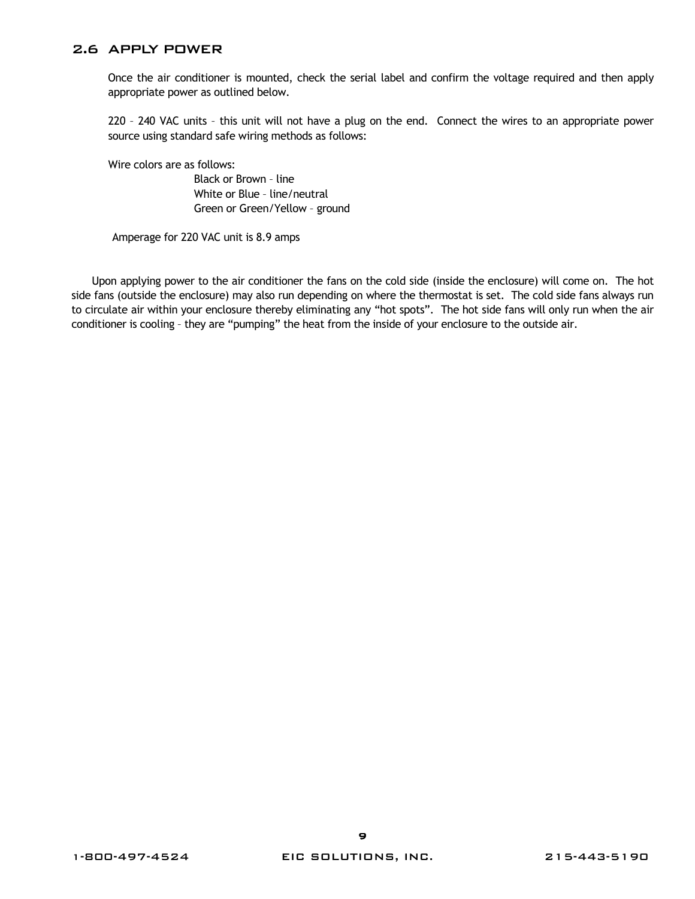#### 2.6 APPLY POWER

Once the air conditioner is mounted, check the serial label and confirm the voltage required and then apply appropriate power as outlined below.

220 – 240 VAC units – this unit will not have a plug on the end. Connect the wires to an appropriate power source using standard safe wiring methods as follows:

Wire colors are as follows:

 Black or Brown – line White or Blue – line/neutral Green or Green/Yellow – ground

Amperage for 220 VAC unit is 8.9 amps

Upon applying power to the air conditioner the fans on the cold side (inside the enclosure) will come on. The hot side fans (outside the enclosure) may also run depending on where the thermostat is set. The cold side fans always run to circulate air within your enclosure thereby eliminating any "hot spots". The hot side fans will only run when the air conditioner is cooling – they are "pumping" the heat from the inside of your enclosure to the outside air.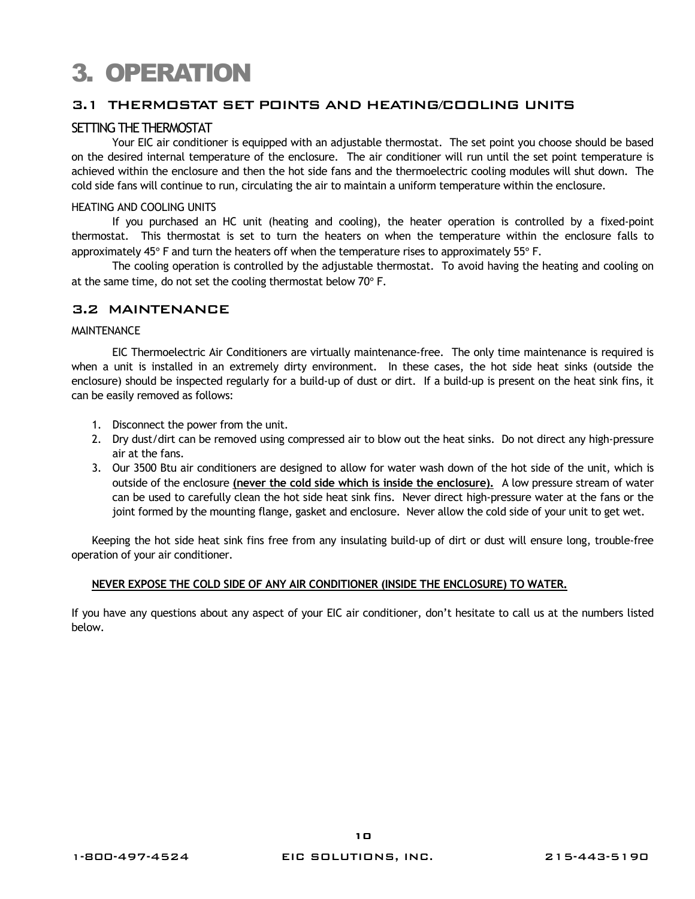## 3. OPERATION

#### 3.1 THERMOSTAT SET POINTS AND HEATING/COOLING UNITS

#### SETTING THE THERMOSTAT

Your EIC air conditioner is equipped with an adjustable thermostat. The set point you choose should be based on the desired internal temperature of the enclosure. The air conditioner will run until the set point temperature is achieved within the enclosure and then the hot side fans and the thermoelectric cooling modules will shut down. The cold side fans will continue to run, circulating the air to maintain a uniform temperature within the enclosure.

#### HEATING AND COOLING UNITS

 If you purchased an HC unit (heating and cooling), the heater operation is controlled by a fixed-point thermostat. This thermostat is set to turn the heaters on when the temperature within the enclosure falls to approximately 45° F and turn the heaters off when the temperature rises to approximately 55° F.

 The cooling operation is controlled by the adjustable thermostat. To avoid having the heating and cooling on at the same time, do not set the cooling thermostat below 70° F.

#### 3.2 MAINTENANCE

#### **MAINTFNANCF**

 EIC Thermoelectric Air Conditioners are virtually maintenance-free. The only time maintenance is required is when a unit is installed in an extremely dirty environment. In these cases, the hot side heat sinks (outside the enclosure) should be inspected regularly for a build-up of dust or dirt. If a build-up is present on the heat sink fins, it can be easily removed as follows:

- 1. Disconnect the power from the unit.
- 2. Dry dust/dirt can be removed using compressed air to blow out the heat sinks. Do not direct any high-pressure air at the fans.
- 3. Our 3500 Btu air conditioners are designed to allow for water wash down of the hot side of the unit, which is outside of the enclosure **(never the cold side which is inside the enclosure).** A low pressure stream of water can be used to carefully clean the hot side heat sink fins. Never direct high-pressure water at the fans or the joint formed by the mounting flange, gasket and enclosure. Never allow the cold side of your unit to get wet.

Keeping the hot side heat sink fins free from any insulating build-up of dirt or dust will ensure long, trouble-free operation of your air conditioner.

#### **NEVER EXPOSE THE COLD SIDE OF ANY AIR CONDITIONER (INSIDE THE ENCLOSURE) TO WATER.**

If you have any questions about any aspect of your EIC air conditioner, don't hesitate to call us at the numbers listed below.